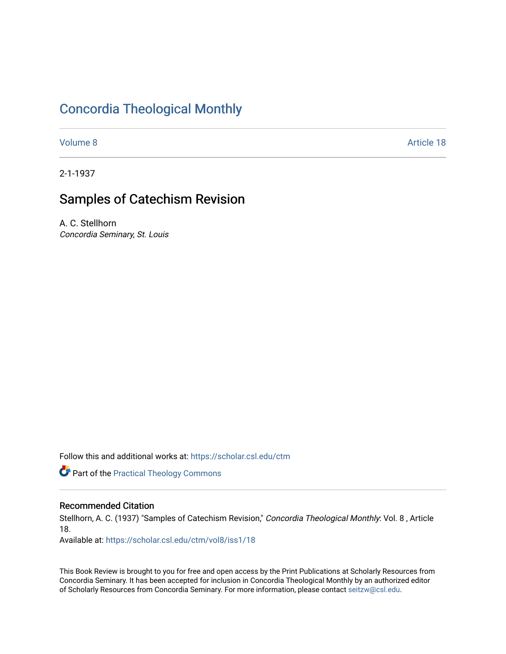## [Concordia Theological Monthly](https://scholar.csl.edu/ctm)

[Volume 8](https://scholar.csl.edu/ctm/vol8) Article 18

2-1-1937

# Samples of Catechism Revision

A. C. Stellhorn Concordia Seminary, St. Louis

Follow this and additional works at: [https://scholar.csl.edu/ctm](https://scholar.csl.edu/ctm?utm_source=scholar.csl.edu%2Fctm%2Fvol8%2Fiss1%2F18&utm_medium=PDF&utm_campaign=PDFCoverPages)

**Part of the [Practical Theology Commons](http://network.bepress.com/hgg/discipline/1186?utm_source=scholar.csl.edu%2Fctm%2Fvol8%2Fiss1%2F18&utm_medium=PDF&utm_campaign=PDFCoverPages)** 

### Recommended Citation

Stellhorn, A. C. (1937) "Samples of Catechism Revision," Concordia Theological Monthly: Vol. 8, Article 18.

Available at: [https://scholar.csl.edu/ctm/vol8/iss1/18](https://scholar.csl.edu/ctm/vol8/iss1/18?utm_source=scholar.csl.edu%2Fctm%2Fvol8%2Fiss1%2F18&utm_medium=PDF&utm_campaign=PDFCoverPages)

This Book Review is brought to you for free and open access by the Print Publications at Scholarly Resources from Concordia Seminary. It has been accepted for inclusion in Concordia Theological Monthly by an authorized editor of Scholarly Resources from Concordia Seminary. For more information, please contact [seitzw@csl.edu](mailto:seitzw@csl.edu).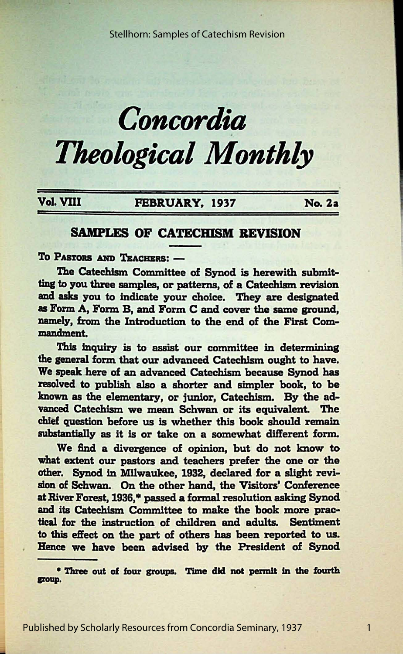Stellhorn: Samples of Catechism Revision

# *Concordia Theological Monthly*

### Vol. VIII FEBRUARY, 1937 No. 2a

1

### SAMPLES OF CATECHISM REVISION

TO PASTORS AND TEACHERS: -

The Catechism Committee of Synod is herewith submitting to you three samples, or patterns, of a Catechism revision **and asks** you to indicate your choice. They are designated as Form A, Form B, and Form C and cover the same ground, namely, from the Introduction to the end of the First Commandment.

This inquiry is to assist our committee in determining the general form that our advanced Catechism ought to have. We speak here of an advanced Catechism because Synod has resolved to publish also a shorter and simpler book, to be known as the elementary, or junior, Catechism. By the advanced Catechism we mean Schwan or its equivalent. The chief question before us is whether this book should remain substantially as it is or take on a somewhat different form.

We find a divergence of opinion, but do not know to what extent our pastors and teachers prefer the one or the other. Synod in Milwaukee, 1932, declared for a slight revision of Schwan. On the other hand, the Visitors' Conference at River Forest, 1936,\* passed a formal resolution asking Synod and its Catechism Committee to make the book more practical for the instruction of children and adults. Sentiment to this effect on the part of others has been reported to us. Hence we have been advised by the President of Synod

\* Three out of four groups. Time did not permit in the fourth group.

Published by Scholarly Resources from Concordia Seminary, 1937